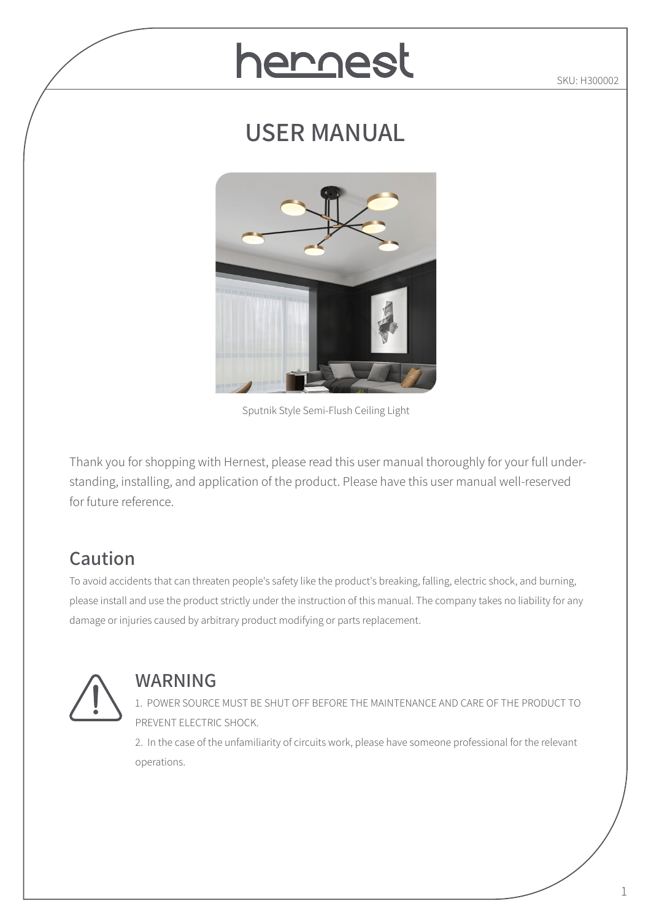# hernest

SKU: H300002

# **USER MANUAL**



Sputnik Style Semi-Flush Ceiling Light

Thank you for shopping with Hernest, please read this user manual thoroughly for your full understanding, installing, and application of the product. Please have this user manual well-reserved for future reference.

# **Caution**

To avoid accidents that can threaten people's safety like the product's breaking, falling, electric shock, and burning, please install and use the product strictly under the instruction of this manual. The company takes no liability for any damage or injuries caused by arbitrary product modifying or parts replacement.



#### **WARNING**

1. POWER SOURCE MUST BE SHUT OFF BEFORE THE MAINTENANCE AND CARE OF THE PRODUCT TO PREVENT ELECTRIC SHOCK.

2. In the case of the unfamiliarity of circuits work, please have someone professional for the relevant operations.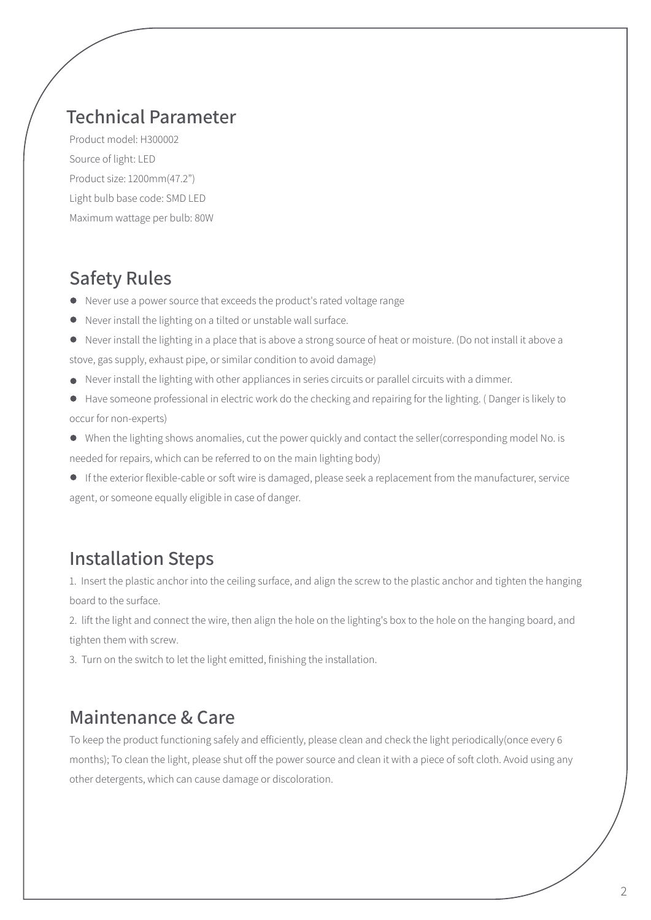#### **Technical Parameter**

Product model: H300002 Source of light: LED Product size: 1200mm(47.2") Light bulb base code: SMD LED Maximum wattage per bulb: 80W

#### **Safety Rules**

- Never use a power source that exceeds the product's rated voltage range
- Never install the lighting on a tilted or unstable wall surface.
- Never install the lighting in a place that is above a strong source of heat or moisture. (Do not install it above a stove, gas supply, exhaust pipe, or similar condition to avoid damage)
- Never install the lighting with other appliances in series circuits or parallel circuits with a dimmer.
- Have someone professional in electric work do the checking and repairing for the lighting. ( Danger is likely to occur for non-experts)
- When the lighting shows anomalies, cut the power quickly and contact the seller(corresponding model No. is needed for repairs, which can be referred to on the main lighting body)
- If the exterior flexible-cable or soft wire is damaged, please seek a replacement from the manufacturer, service agent, or someone equally eligible in case of danger.

### **Installation Steps**

1. Insert the plastic anchor into the ceiling surface, and align the screw to the plastic anchor and tighten the hanging board to the surface.

2. lift the light and connect the wire, then align the hole on the lighting's box to the hole on the hanging board, and tighten them with screw.

3. Turn on the switch to let the light emitted, finishing the installation.

#### **Maintenance & Care**

To keep the product functioning safely and efficiently, please clean and check the light periodically(once every 6 months); To clean the light, please shut off the power source and clean it with a piece of soft cloth. Avoid using any other detergents, which can cause damage or discoloration.